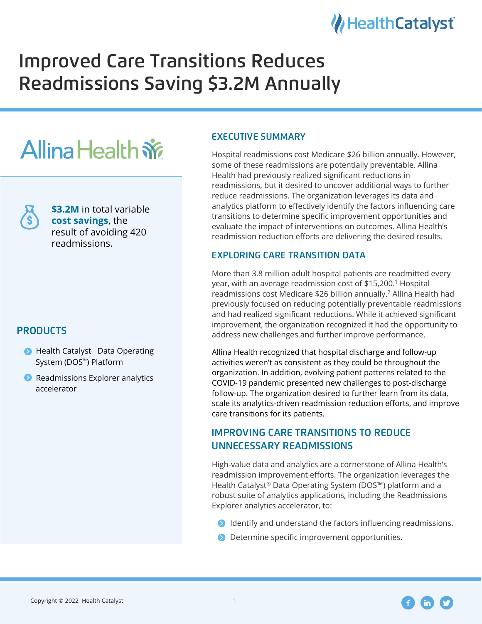

# Improved Care Transitions Reduces Readmissions Saving \$3.2M Annually

# **Allina Health**  $\dot{w}$

**\$3.2M** in total variable **cost savings**, the result of avoiding 420 readmissions.

# **PRODUCTS**

- **Health Catalyst** Data Operating System (DOS<sup>™</sup>) Platform
- **•** Readmissions Explorer analytics accelerator

# **EXECUTIVE SUMMARY**

Hospital readmissions cost Medicare \$26 billion annually. However, some of these readmissions are potentially preventable. Allina Health had previously realized significant reductions in readmissions, but it desired to uncover additional ways to further reduce readmissions. The organization leverages its data and analytics platform to effectively identify the factors influencing care transitions to determine specific improvement opportunities and evaluate the impact of interventions on outcomes. Allina Health's readmission reduction efforts are delivering the desired results.

# EXPLORING CARE TRANSITION DATA

More than 3.8 million adult hospital patients are readmitted every year, with an average readmission cost of \$15,200.<sup>1</sup> Hospital readmissions cost Medicare \$26 billion annually.<sup>2</sup> Allina Health had previously focused on reducing potentially preventable readmissions and had realized significant reductions. While it achieved significant improvement, the organization recognized it had the opportunity to address new challenges and further improve performance.

Allina Health recognized that hospital discharge and follow-up activities weren't as consistent as they could be throughout the organization. In addition, evolving patient patterns related to the COVID-19 pandemic presented new challenges to post-discharge follow-up. The organization desired to further learn from its data, scale its analytics-driven readmission reduction efforts, and improve care transitions for its patients.

# IMPROVING CARE TRANSITIONS TO REDUCE UNNECESSARY READMISSIONS

High-value data and analytics are a cornerstone of Allina Health's readmission improvement efforts. The organization leverages the Health Catalyst® Data Operating System (DOS™) platform and a robust suite of analytics applications, including the Readmissions Explorer analytics accelerator, to:

- **•** Identify and understand the factors influencing readmissions.
- **•** Determine specific improvement opportunities.



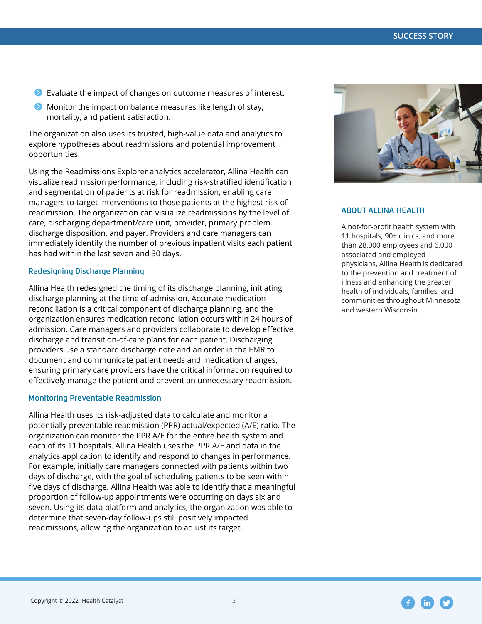- Evaluate the impact of changes on outcome measures of interest.
- $\bullet$  Monitor the impact on balance measures like length of stay, mortality, and patient satisfaction.

The organization also uses its trusted, high-value data and analytics to explore hypotheses about readmissions and potential improvement opportunities.

Using the Readmissions Explorer analytics accelerator, Allina Health can visualize readmission performance, including risk-stratified identification and segmentation of patients at risk for readmission, enabling care managers to target interventions to those patients at the highest risk of readmission. The organization can visualize readmissions by the level of care, discharging department/care unit, provider, primary problem, discharge disposition, and payer. Providers and care managers can immediately identify the number of previous inpatient visits each patient has had within the last seven and 30 days.

#### Redesigning Discharge Planning

Allina Health redesigned the timing of its discharge planning, initiating discharge planning at the time of admission. Accurate medication reconciliation is a critical component of discharge planning, and the organization ensures medication reconciliation occurs within 24 hours of admission. Care managers and providers collaborate to develop effective discharge and transition-of-care plans for each patient. Discharging providers use a standard discharge note and an order in the EMR to document and communicate patient needs and medication changes, ensuring primary care providers have the critical information required to effectively manage the patient and prevent an unnecessary readmission.

#### Monitoring Preventable Readmission

Allina Health uses its risk-adjusted data to calculate and monitor a potentially preventable readmission (PPR) actual/expected (A/E) ratio. The organization can monitor the PPR A/E for the entire health system and each of its 11 hospitals. Allina Health uses the PPR A/E and data in the analytics application to identify and respond to changes in performance. For example, initially care managers connected with patients within two days of discharge, with the goal of scheduling patients to be seen within five days of discharge. Allina Health was able to identify that a meaningful proportion of follow-up appointments were occurring on days six and seven. Using its data platform and analytics, the organization was able to determine that seven-day follow-ups still positively impacted readmissions, allowing the organization to adjust its target.



#### ABOUT ALLINA HEALTH

A not-for-profit health system with 11 hospitals, 90+ clinics, and more than 28,000 employees and 6,000 associated and employed physicians, Allina Health is dedicated to the prevention and treatment of illness and enhancing the greater health of individuals, families, and communities throughout Minnesota and western Wisconsin.

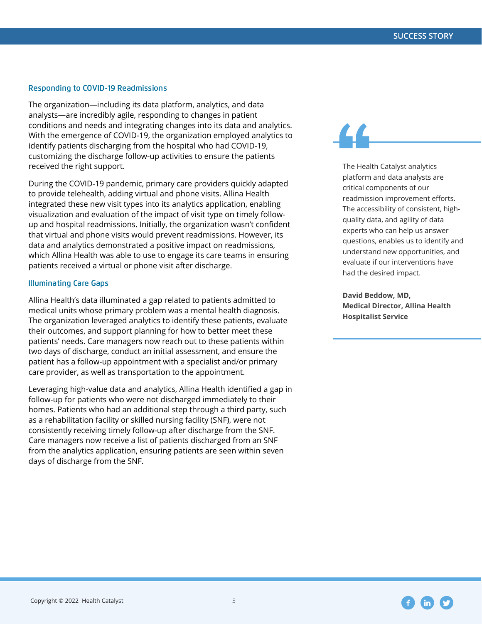#### Responding to COVID-19 Readmissions

The organization—including its data platform, analytics, and data analysts—are incredibly agile, responding to changes in patient conditions and needs and integrating changes into its data and analytics. With the emergence of COVID-19, the organization employed analytics to identify patients discharging from the hospital who had COVID-19, customizing the discharge follow-up activities to ensure the patients received the right support.

During the COVID-19 pandemic, primary care providers quickly adapted to provide telehealth, adding virtual and phone visits. Allina Health integrated these new visit types into its analytics application, enabling visualization and evaluation of the impact of visit type on timely followup and hospital readmissions. Initially, the organization wasn't confident that virtual and phone visits would prevent readmissions. However, its data and analytics demonstrated a positive impact on readmissions, which Allina Health was able to use to engage its care teams in ensuring patients received a virtual or phone visit after discharge.

#### Illuminating Care Gaps

Allina Health's data illuminated a gap related to patients admitted to medical units whose primary problem was a mental health diagnosis. The organization leveraged analytics to identify these patients, evaluate their outcomes, and support planning for how to better meet these patients' needs. Care managers now reach out to these patients within two days of discharge, conduct an initial assessment, and ensure the patient has a follow-up appointment with a specialist and/or primary care provider, as well as transportation to the appointment.

Leveraging high-value data and analytics, Allina Health identified a gap in follow-up for patients who were not discharged immediately to their homes. Patients who had an additional step through a third party, such as a rehabilitation facility or skilled nursing facility (SNF), were not consistently receiving timely follow-up after discharge from the SNF. Care managers now receive a list of patients discharged from an SNF from the analytics application, ensuring patients are seen within seven days of discharge from the SNF.

The Health Catalyst analytics platform and data analysts are critical components of our readmission improvement efforts. The accessibility of consistent, highquality data, and agility of data experts who can help us answer questions, enables us to identify and understand new opportunities, and evaluate if our interventions have had the desired impact.

**David Beddow, MD, Medical Director, Allina Health Hospitalist Service**

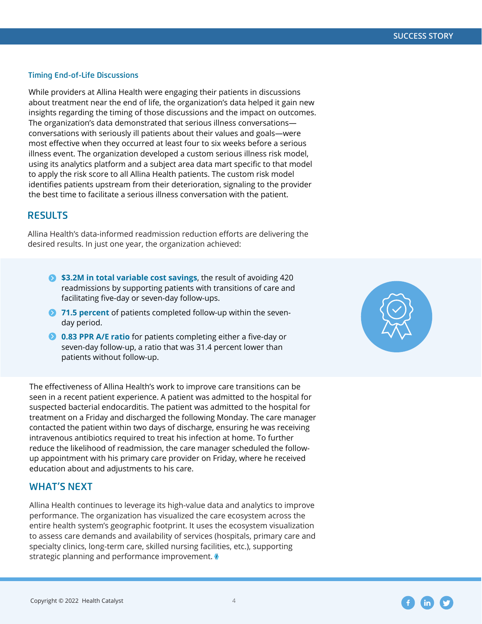#### Timing End-of-Life Discussions

While providers at Allina Health were engaging their patients in discussions about treatment near the end of life, the organization's data helped it gain new insights regarding the timing of those discussions and the impact on outcomes. The organization's data demonstrated that serious illness conversations conversations with seriously ill patients about their values and goals—were most effective when they occurred at least four to six weeks before a serious illness event. The organization developed a custom serious illness risk model, using its analytics platform and a subject area data mart specific to that model to apply the risk score to all Allina Health patients. The custom risk model identifies patients upstream from their deterioration, signaling to the provider the best time to facilitate a serious illness conversation with the patient.

### **RESULTS**

Allina Health's data-informed readmission reduction efforts are delivering the desired results. In just one year, the organization achieved:

- **\$3.2M in total variable cost savings**, the result of avoiding 420 readmissions by supporting patients with transitions of care and facilitating five-day or seven-day follow-ups.
- **71.5 percent** of patients completed follow-up within the sevenday period.
- **2 0.83 PPR A/E ratio** for patients completing either a five-day or seven-day follow-up, a ratio that was 31.4 percent lower than patients without follow-up.

The effectiveness of Allina Health's work to improve care transitions can be seen in a recent patient experience. A patient was admitted to the hospital for suspected bacterial endocarditis. The patient was admitted to the hospital for treatment on a Friday and discharged the following Monday. The care manager contacted the patient within two days of discharge, ensuring he was receiving intravenous antibiotics required to treat his infection at home. To further reduce the likelihood of readmission, the care manager scheduled the followup appointment with his primary care provider on Friday, where he received education about and adjustments to his care.

# **WHAT'S NEXT**

Allina Health continues to leverage its high-value data and analytics to improve performance. The organization has visualized the care ecosystem across the entire health system's geographic footprint. It uses the ecosystem visualization to assess care demands and availability of services (hospitals, primary care and specialty clinics, long-term care, skilled nursing facilities, etc.), supporting strategic planning and performance improvement.